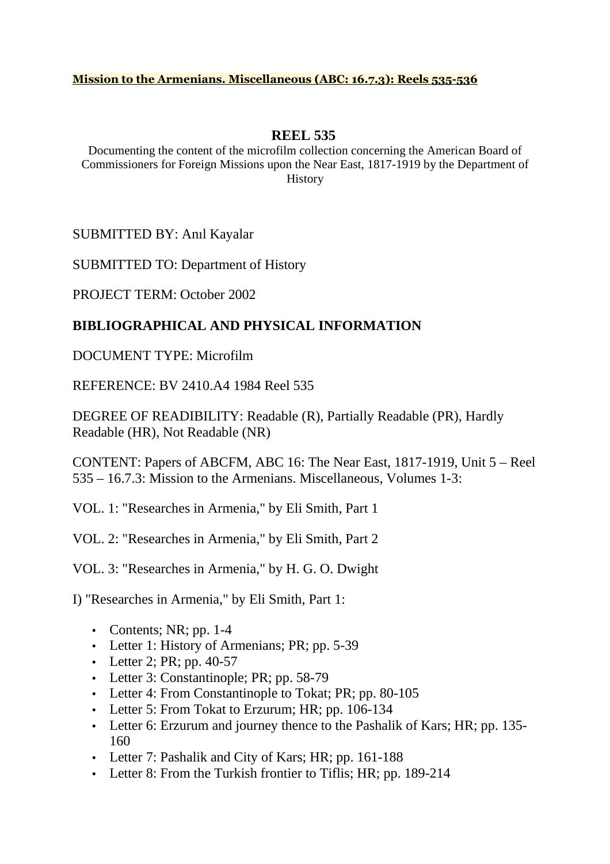## **Mission to the Armenians. Miscellaneous (ABC: 16.7.3): Reels 535-536**

## **REEL 535**

Documenting the content of the microfilm collection concerning the American Board of Commissioners for Foreign Missions upon the Near East, 1817-1919 by the Department of History

SUBMITTED BY: Anıl Kayalar

SUBMITTED TO: Department of History

PROJECT TERM: October 2002

## **BIBLIOGRAPHICAL AND PHYSICAL INFORMATION**

DOCUMENT TYPE: Microfilm

REFERENCE: BV 2410.A4 1984 Reel 535

DEGREE OF READIBILITY: Readable (R), Partially Readable (PR), Hardly Readable (HR), Not Readable (NR)

CONTENT: Papers of ABCFM, ABC 16: The Near East, 1817-1919, Unit 5 – Reel 535 – 16.7.3: Mission to the Armenians. Miscellaneous, Volumes 1-3:

VOL. 1: "Researches in Armenia," by Eli Smith, Part 1

VOL. 2: "Researches in Armenia," by Eli Smith, Part 2

VOL. 3: "Researches in Armenia," by H. G. O. Dwight

I) "Researches in Armenia," by Eli Smith, Part 1:

- Contents; NR; pp.  $1-4$
- Letter 1: History of Armenians; PR; pp. 5-39
- Letter 2; PR; pp. 40-57
- Letter 3: Constantinople; PR; pp. 58-79
- Letter 4: From Constantinople to Tokat; PR; pp. 80-105
- Letter 5: From Tokat to Erzurum; HR; pp. 106-134
- Letter 6: Erzurum and journey thence to the Pashalik of Kars; HR; pp. 135-160
- Letter 7: Pashalik and City of Kars; HR; pp. 161-188
- Letter 8: From the Turkish frontier to Tiflis; HR; pp. 189-214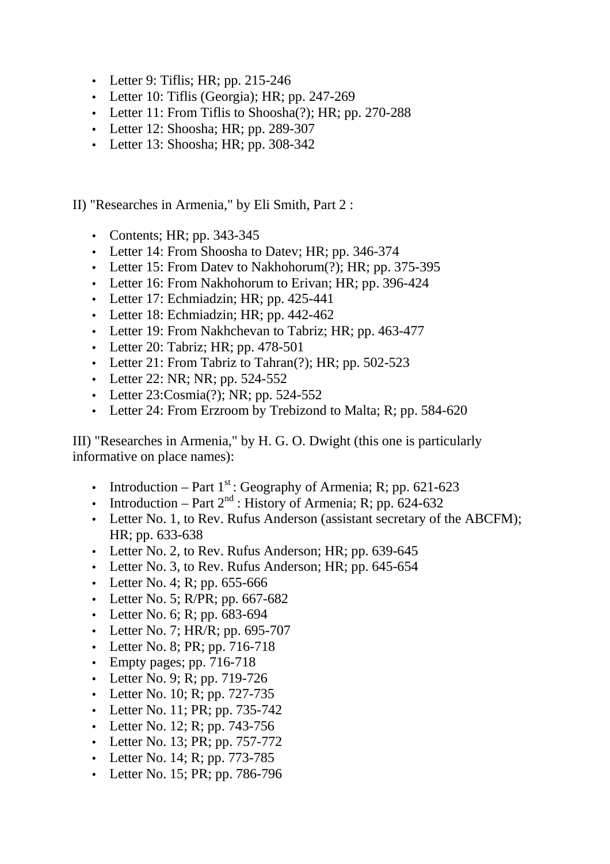- Letter 9: Tiflis; HR; pp. 215-246
- Letter 10: Tiflis (Georgia); HR; pp. 247-269
- Letter 11: From Tiflis to Shoosha(?); HR; pp. 270-288
- Letter 12: Shoosha; HR; pp. 289-307
- Letter 13: Shoosha; HR; pp. 308-342

II) "Researches in Armenia," by Eli Smith, Part 2 :

- Contents; HR; pp. 343-345
- Letter 14: From Shoosha to Datev; HR; pp. 346-374
- Letter 15: From Datev to Nakhohorum(?); HR; pp. 375-395
- Letter 16: From Nakhohorum to Erivan; HR; pp. 396-424
- Letter 17: Echmiadzin; HR; pp. 425-441
- Letter 18: Echmiadzin; HR; pp. 442-462
- Letter 19: From Nakhchevan to Tabriz; HR; pp. 463-477
- Letter 20: Tabriz; HR; pp. 478-501
- Letter 21: From Tabriz to Tahran(?); HR; pp. 502-523
- Letter 22: NR; NR; pp. 524-552
- Letter 23: Cosmia(?); NR; pp. 524-552
- Letter 24: From Erzroom by Trebizond to Malta; R; pp. 584-620

III) "Researches in Armenia," by H. G. O. Dwight (this one is particularly informative on place names):

- Introduction Part  $1<sup>st</sup>$ : Geography of Armenia; R; pp. 621-623
- Introduction Part  $2^{nd}$ : History of Armenia; R; pp. 624-632
- Letter No. 1, to Rev. Rufus Anderson (assistant secretary of the ABCFM); HR; pp. 633-638
- Letter No. 2, to Rev. Rufus Anderson; HR; pp. 639-645
- Letter No. 3, to Rev. Rufus Anderson: HR; pp. 645-654
- Letter No. 4; R; pp. 655-666
- Letter No. 5; R/PR; pp. 667-682
- Letter No. 6; R; pp. 683-694
- Letter No. 7; HR/R; pp. 695-707
- Letter No. 8; PR; pp. 716-718
- Empty pages; pp. 716-718
- Letter No. 9; R; pp. 719-726
- Letter No. 10; R; pp. 727-735
- Letter No. 11; PR; pp. 735-742
- Letter No. 12; R; pp. 743-756
- Letter No. 13; PR; pp. 757-772
- Letter No. 14; R; pp. 773-785
- Letter No. 15; PR; pp. 786-796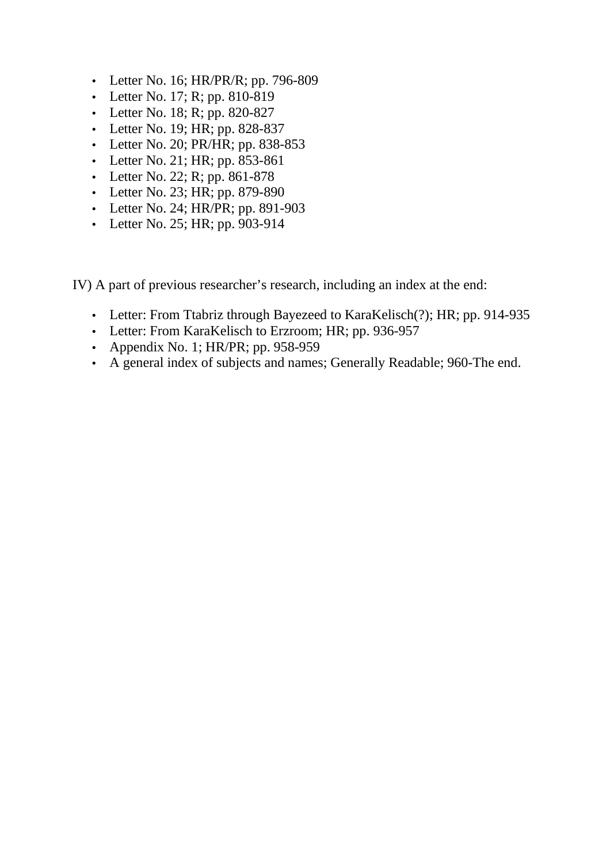- Letter No. 16; HR/PR/R; pp. 796-809
- Letter No. 17; R; pp.  $810-819$
- Letter No. 18; R; pp. 820-827
- Letter No. 19; HR; pp. 828-837
- Letter No. 20; PR/HR; pp. 838-853
- Letter No. 21; HR; pp. 853-861
- Letter No. 22; R; pp. 861-878
- Letter No. 23; HR; pp. 879-890
- Letter No. 24; HR/PR; pp. 891-903
- Letter No. 25; HR; pp. 903-914

IV) A part of previous researcher's research, including an index at the end:

- Letter: From Ttabriz through Bayezeed to KaraKelisch(?); HR; pp. 914-935
- Letter: From KaraKelisch to Erzroom; HR; pp. 936-957
- Appendix No. 1; HR/PR; pp. 958-959
- A general index of subjects and names; Generally Readable; 960-The end.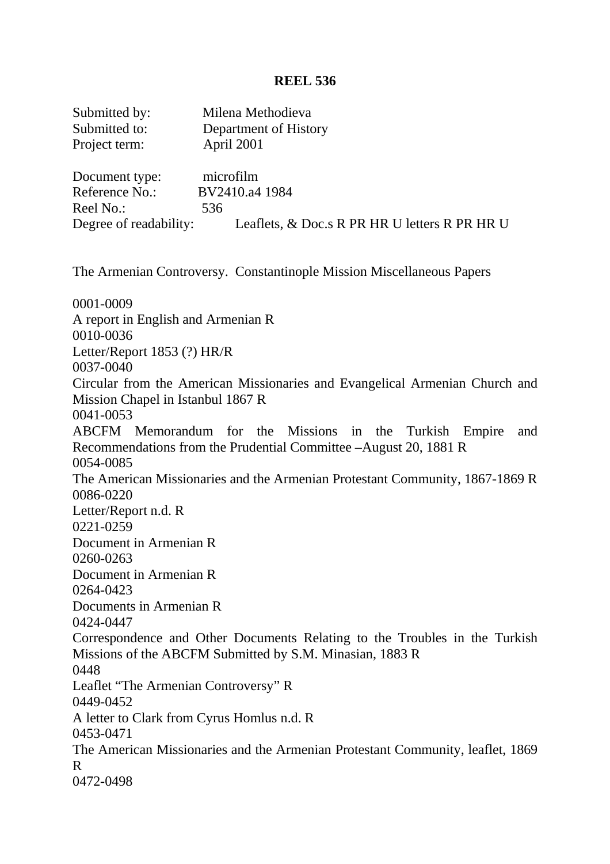## **REEL 536**

| Submitted by:<br>Submitted to:<br>Project term:                                             | Milena Methodieva<br>Department of History<br>April 2001                                                                               |
|---------------------------------------------------------------------------------------------|----------------------------------------------------------------------------------------------------------------------------------------|
| Document type:<br>Reference No.:<br>Reel No.:                                               | microfilm<br>BV2410.a4 1984<br>536<br>Degree of readability: Leaflets, & Doc.s R PR HR U letters R PR HR U                             |
|                                                                                             | The Armenian Controversy. Constantinople Mission Miscellaneous Papers                                                                  |
| 0001-0009<br>A report in English and Armenian R<br>0010-0036<br>Letter/Report 1853 (?) HR/R |                                                                                                                                        |
| 0037-0040<br>Mission Chapel in Istanbul 1867 R<br>0041-0053                                 | Circular from the American Missionaries and Evangelical Armenian Church and                                                            |
| 0054-0085                                                                                   | ABCFM Memorandum for the Missions in the Turkish Empire<br>and<br>Recommendations from the Prudential Committee – August 20, 1881 R    |
| 0086-0220                                                                                   | The American Missionaries and the Armenian Protestant Community, 1867-1869 R                                                           |
| Letter/Report n.d. R<br>0221-0259                                                           |                                                                                                                                        |
| Document in Armenian R<br>0260-0263<br>Document in Armenian R                               |                                                                                                                                        |
| 0264-0423<br>Documents in Armenian R                                                        |                                                                                                                                        |
| 0424-0447<br>0448                                                                           | Correspondence and Other Documents Relating to the Troubles in the Turkish<br>Missions of the ABCFM Submitted by S.M. Minasian, 1883 R |
| Leaflet "The Armenian Controversy" R<br>0449-0452                                           |                                                                                                                                        |
| A letter to Clark from Cyrus Homlus n.d. R<br>0453-0471                                     |                                                                                                                                        |
| R<br>0472-0498                                                                              | The American Missionaries and the Armenian Protestant Community, leaflet, 1869                                                         |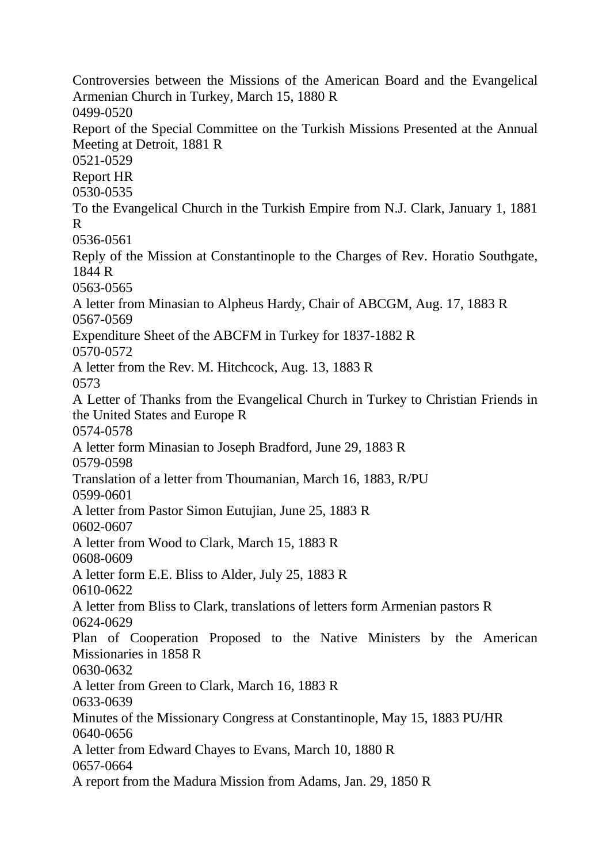Controversies between the Missions of the American Board and the Evangelical Armenian Church in Turkey, March 15, 1880 R 0499-0520 Report of the Special Committee on the Turkish Missions Presented at the Annual Meeting at Detroit, 1881 R 0521-0529 Report HR 0530-0535 To the Evangelical Church in the Turkish Empire from N.J. Clark, January 1, 1881 R 0536-0561 Reply of the Mission at Constantinople to the Charges of Rev. Horatio Southgate, 1844 R 0563-0565 A letter from Minasian to Alpheus Hardy, Chair of ABCGM, Aug. 17, 1883 R 0567-0569 Expenditure Sheet of the ABCFM in Turkey for 1837-1882 R 0570-0572 A letter from the Rev. M. Hitchcock, Aug. 13, 1883 R 0573 A Letter of Thanks from the Evangelical Church in Turkey to Christian Friends in the United States and Europe R 0574-0578 A letter form Minasian to Joseph Bradford, June 29, 1883 R 0579-0598 Translation of a letter from Thoumanian, March 16, 1883, R/PU 0599-0601 A letter from Pastor Simon Eutujian, June 25, 1883 R 0602-0607 A letter from Wood to Clark, March 15, 1883 R 0608-0609 A letter form E.E. Bliss to Alder, July 25, 1883 R 0610-0622 A letter from Bliss to Clark, translations of letters form Armenian pastors R 0624-0629 Plan of Cooperation Proposed to the Native Ministers by the American Missionaries in 1858 R 0630-0632 A letter from Green to Clark, March 16, 1883 R 0633-0639 Minutes of the Missionary Congress at Constantinople, May 15, 1883 PU/HR 0640-0656 A letter from Edward Chayes to Evans, March 10, 1880 R 0657-0664 A report from the Madura Mission from Adams, Jan. 29, 1850 R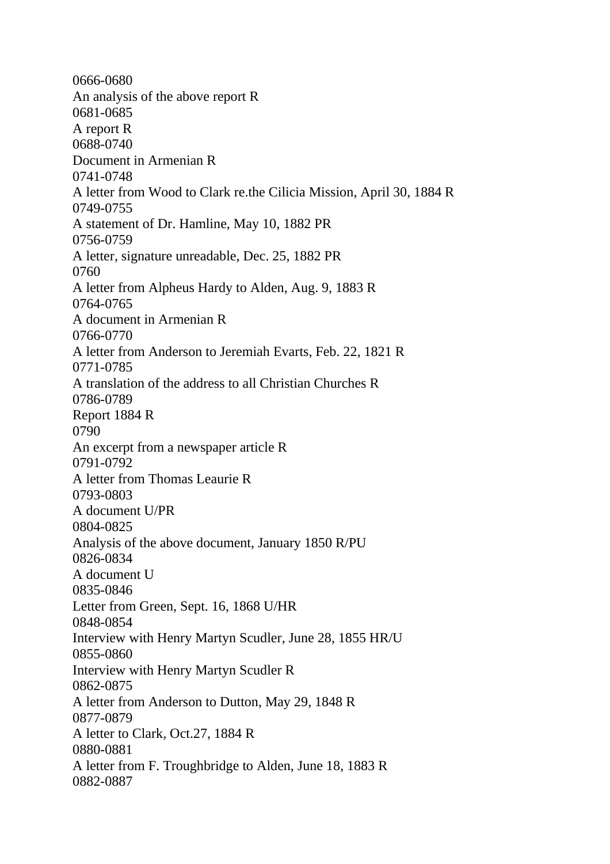0666-0680 An analysis of the above report R 0681-0685 A report R 0688-0740 Document in Armenian R 0741-0748 A letter from Wood to Clark re.the Cilicia Mission, April 30, 1884 R 0749-0755 A statement of Dr. Hamline, May 10, 1882 PR 0756-0759 A letter, signature unreadable, Dec. 25, 1882 PR 0760 A letter from Alpheus Hardy to Alden, Aug. 9, 1883 R 0764-0765 A document in Armenian R 0766-0770 A letter from Anderson to Jeremiah Evarts, Feb. 22, 1821 R 0771-0785 A translation of the address to all Christian Churches R 0786-0789 Report 1884 R 0790 An excerpt from a newspaper article R 0791-0792 A letter from Thomas Leaurie R 0793-0803 A document U/PR 0804-0825 Analysis of the above document, January 1850 R/PU 0826-0834 A document U 0835-0846 Letter from Green, Sept. 16, 1868 U/HR 0848-0854 Interview with Henry Martyn Scudler, June 28, 1855 HR/U 0855-0860 Interview with Henry Martyn Scudler R 0862-0875 A letter from Anderson to Dutton, May 29, 1848 R 0877-0879 A letter to Clark, Oct.27, 1884 R 0880-0881 A letter from F. Troughbridge to Alden, June 18, 1883 R 0882-0887